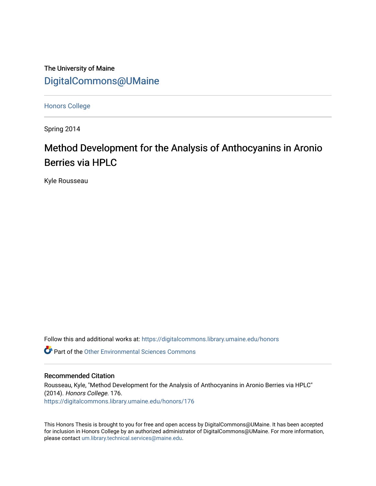The University of Maine [DigitalCommons@UMaine](https://digitalcommons.library.umaine.edu/)

[Honors College](https://digitalcommons.library.umaine.edu/honors)

Spring 2014

# Method Development for the Analysis of Anthocyanins in Aronio Berries via HPLC

Kyle Rousseau

Follow this and additional works at: [https://digitalcommons.library.umaine.edu/honors](https://digitalcommons.library.umaine.edu/honors?utm_source=digitalcommons.library.umaine.edu%2Fhonors%2F176&utm_medium=PDF&utm_campaign=PDFCoverPages) 

 $\bullet$  Part of the Other Environmental Sciences Commons

#### Recommended Citation

Rousseau, Kyle, "Method Development for the Analysis of Anthocyanins in Aronio Berries via HPLC" (2014). Honors College. 176. [https://digitalcommons.library.umaine.edu/honors/176](https://digitalcommons.library.umaine.edu/honors/176?utm_source=digitalcommons.library.umaine.edu%2Fhonors%2F176&utm_medium=PDF&utm_campaign=PDFCoverPages) 

This Honors Thesis is brought to you for free and open access by DigitalCommons@UMaine. It has been accepted for inclusion in Honors College by an authorized administrator of DigitalCommons@UMaine. For more information, please contact [um.library.technical.services@maine.edu.](mailto:um.library.technical.services@maine.edu)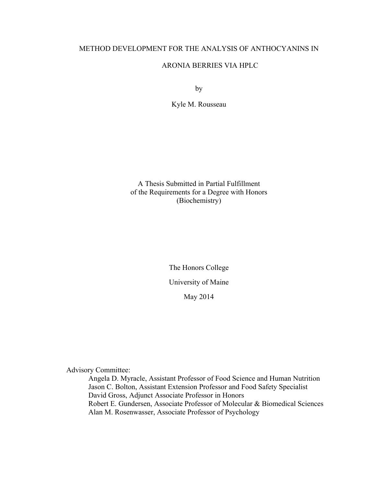# METHOD DEVELOPMENT FOR THE ANALYSIS OF ANTHOCYANINS IN

# ARONIA BERRIES VIA HPLC

by

Kyle M. Rousseau

A Thesis Submitted in Partial Fulfillment of the Requirements for a Degree with Honors (Biochemistry)

> The Honors College University of Maine May 2014

Advisory Committee:

Angela D. Myracle, Assistant Professor of Food Science and Human Nutrition Jason C. Bolton, Assistant Extension Professor and Food Safety Specialist David Gross, Adjunct Associate Professor in Honors Robert E. Gundersen, Associate Professor of Molecular & Biomedical Sciences Alan M. Rosenwasser, Associate Professor of Psychology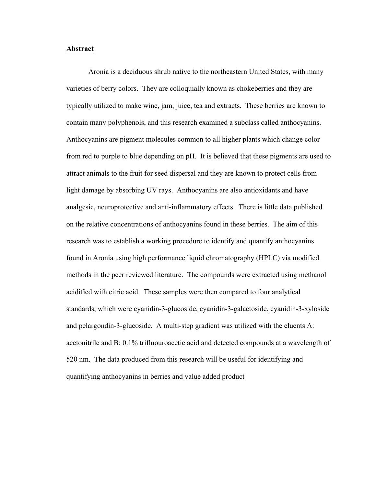#### **Abstract**

Aronia is a deciduous shrub native to the northeastern United States, with many varieties of berry colors. They are colloquially known as chokeberries and they are typically utilized to make wine, jam, juice, tea and extracts. These berries are known to contain many polyphenols, and this research examined a subclass called anthocyanins. Anthocyanins are pigment molecules common to all higher plants which change color from red to purple to blue depending on pH. It is believed that these pigments are used to attract animals to the fruit for seed dispersal and they are known to protect cells from light damage by absorbing UV rays. Anthocyanins are also antioxidants and have analgesic, neuroprotective and anti-inflammatory effects. There is little data published on the relative concentrations of anthocyanins found in these berries. The aim of this research was to establish a working procedure to identify and quantify anthocyanins found in Aronia using high performance liquid chromatography (HPLC) via modified methods in the peer reviewed literature. The compounds were extracted using methanol acidified with citric acid. These samples were then compared to four analytical standards, which were cyanidin-3-glucoside, cyanidin-3-galactoside, cyanidin-3-xyloside and pelargondin-3-glucoside. A multi-step gradient was utilized with the eluents A: acetonitrile and B: 0.1% trifluouroacetic acid and detected compounds at a wavelength of 520 nm. The data produced from this research will be useful for identifying and quantifying anthocyanins in berries and value added product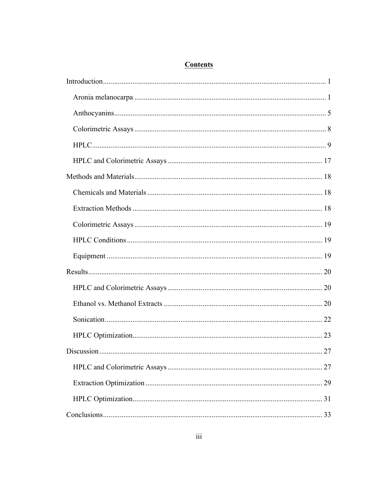# **Contents**

| 27 |
|----|
| 27 |
| 29 |
| 31 |
|    |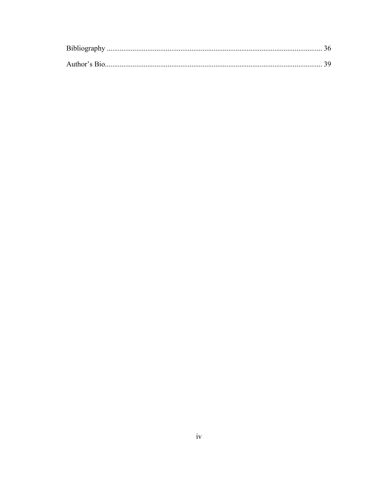| Bibliography  |  |
|---------------|--|
|               |  |
| Author's Bio. |  |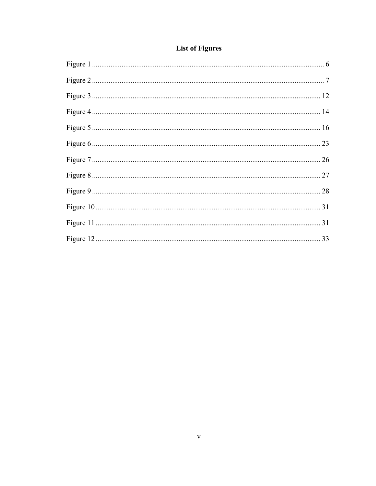| <b>List of Figures</b> |  |
|------------------------|--|
|                        |  |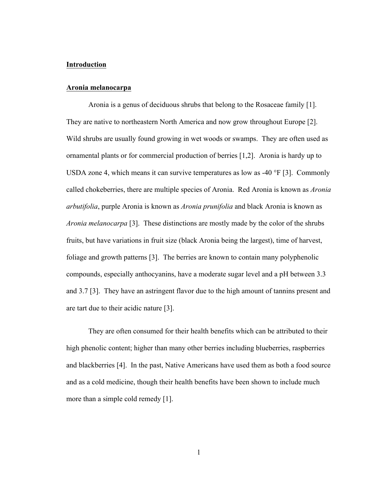#### **Introduction**

#### **Aronia melanocarpa**

Aronia is a genus of deciduous shrubs that belong to the Rosaceae family [1]. They are native to northeastern North America and now grow throughout Europe [2]. Wild shrubs are usually found growing in wet woods or swamps. They are often used as ornamental plants or for commercial production of berries [1,2]. Aronia is hardy up to USDA zone 4, which means it can survive temperatures as low as -40 °F [3]. Commonly called chokeberries, there are multiple species of Aronia. Red Aronia is known as *Aronia arbutifolia*, purple Aronia is known as *Aronia prunifolia* and black Aronia is known as *Aronia melanocarpa* [3]. These distinctions are mostly made by the color of the shrubs fruits, but have variations in fruit size (black Aronia being the largest), time of harvest, foliage and growth patterns [3]. The berries are known to contain many polyphenolic compounds, especially anthocyanins, have a moderate sugar level and a pH between 3.3 and 3.7 [3]. They have an astringent flavor due to the high amount of tannins present and are tart due to their acidic nature [3].

They are often consumed for their health benefits which can be attributed to their high phenolic content; higher than many other berries including blueberries, raspberries and blackberries [4]. In the past, Native Americans have used them as both a food source and as a cold medicine, though their health benefits have been shown to include much more than a simple cold remedy [1].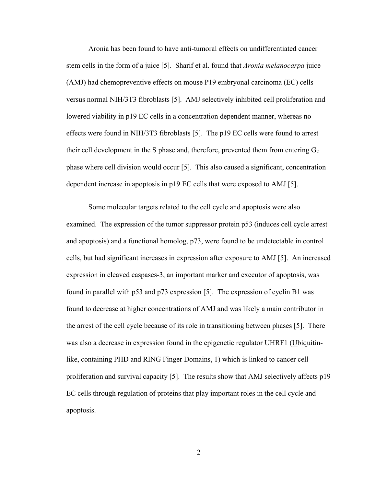Aronia has been found to have anti-tumoral effects on undifferentiated cancer stem cells in the form of a juice [5]. Sharif et al. found that *Aronia melanocarpa* juice (AMJ) had chemopreventive effects on mouse P19 embryonal carcinoma (EC) cells versus normal NIH/3T3 fibroblasts [5]. AMJ selectively inhibited cell proliferation and lowered viability in p19 EC cells in a concentration dependent manner, whereas no effects were found in NIH/3T3 fibroblasts [5]. The p19 EC cells were found to arrest their cell development in the S phase and, therefore, prevented them from entering  $G_2$ phase where cell division would occur [5]. This also caused a significant, concentration dependent increase in apoptosis in p19 EC cells that were exposed to AMJ [5].

Some molecular targets related to the cell cycle and apoptosis were also examined. The expression of the tumor suppressor protein p53 (induces cell cycle arrest and apoptosis) and a functional homolog, p73, were found to be undetectable in control cells, but had significant increases in expression after exposure to AMJ [5]. An increased expression in cleaved caspases-3, an important marker and executor of apoptosis, was found in parallel with p53 and p73 expression [5]. The expression of cyclin B1 was found to decrease at higher concentrations of AMJ and was likely a main contributor in the arrest of the cell cycle because of its role in transitioning between phases [5]. There was also a decrease in expression found in the epigenetic regulator UHRF1 (Ubiquitinlike, containing PHD and RING Finger Domains, 1) which is linked to cancer cell proliferation and survival capacity [5]. The results show that AMJ selectively affects p19 EC cells through regulation of proteins that play important roles in the cell cycle and apoptosis.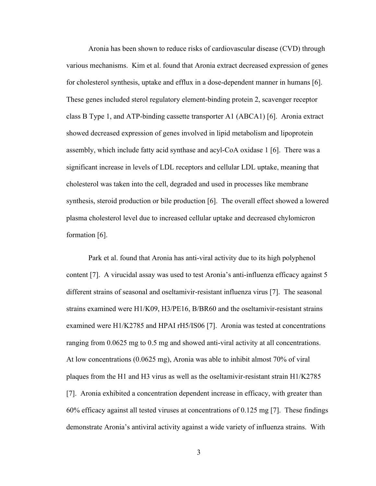Aronia has been shown to reduce risks of cardiovascular disease (CVD) through various mechanisms. Kim et al. found that Aronia extract decreased expression of genes for cholesterol synthesis, uptake and efflux in a dose-dependent manner in humans [6]. These genes included sterol regulatory element-binding protein 2, scavenger receptor class B Type 1, and ATP-binding cassette transporter A1 (ABCA1) [6]. Aronia extract showed decreased expression of genes involved in lipid metabolism and lipoprotein assembly, which include fatty acid synthase and acyl-CoA oxidase 1 [6]. There was a significant increase in levels of LDL receptors and cellular LDL uptake, meaning that cholesterol was taken into the cell, degraded and used in processes like membrane synthesis, steroid production or bile production [6]. The overall effect showed a lowered plasma cholesterol level due to increased cellular uptake and decreased chylomicron formation [6].

Park et al. found that Aronia has anti-viral activity due to its high polyphenol content [7]. A virucidal assay was used to test Aronia's anti-influenza efficacy against 5 different strains of seasonal and oseltamivir-resistant influenza virus [7]. The seasonal strains examined were H1/K09, H3/PE16, B/BR60 and the oseltamivir-resistant strains examined were H1/K2785 and HPAI rH5/IS06 [7]. Aronia was tested at concentrations ranging from 0.0625 mg to 0.5 mg and showed anti-viral activity at all concentrations. At low concentrations (0.0625 mg), Aronia was able to inhibit almost 70% of viral plaques from the H1 and H3 virus as well as the oseltamivir-resistant strain H1/K2785 [7]. Aronia exhibited a concentration dependent increase in efficacy, with greater than 60% efficacy against all tested viruses at concentrations of 0.125 mg [7]. These findings demonstrate Aronia's antiviral activity against a wide variety of influenza strains. With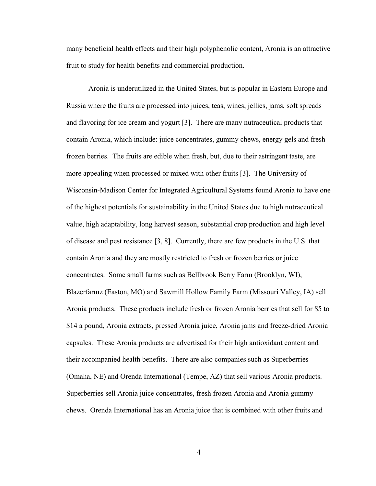many beneficial health effects and their high polyphenolic content, Aronia is an attractive fruit to study for health benefits and commercial production.

Aronia is underutilized in the United States, but is popular in Eastern Europe and Russia where the fruits are processed into juices, teas, wines, jellies, jams, soft spreads and flavoring for ice cream and yogurt [3]. There are many nutraceutical products that contain Aronia, which include: juice concentrates, gummy chews, energy gels and fresh frozen berries. The fruits are edible when fresh, but, due to their astringent taste, are more appealing when processed or mixed with other fruits [3]. The University of Wisconsin-Madison Center for Integrated Agricultural Systems found Aronia to have one of the highest potentials for sustainability in the United States due to high nutraceutical value, high adaptability, long harvest season, substantial crop production and high level of disease and pest resistance [3, 8]. Currently, there are few products in the U.S. that contain Aronia and they are mostly restricted to fresh or frozen berries or juice concentrates. Some small farms such as Bellbrook Berry Farm (Brooklyn, WI), Blazerfarmz (Easton, MO) and Sawmill Hollow Family Farm (Missouri Valley, IA) sell Aronia products. These products include fresh or frozen Aronia berries that sell for \$5 to \$14 a pound, Aronia extracts, pressed Aronia juice, Aronia jams and freeze-dried Aronia capsules. These Aronia products are advertised for their high antioxidant content and their accompanied health benefits. There are also companies such as Superberries (Omaha, NE) and Orenda International (Tempe, AZ) that sell various Aronia products. Superberries sell Aronia juice concentrates, fresh frozen Aronia and Aronia gummy chews. Orenda International has an Aronia juice that is combined with other fruits and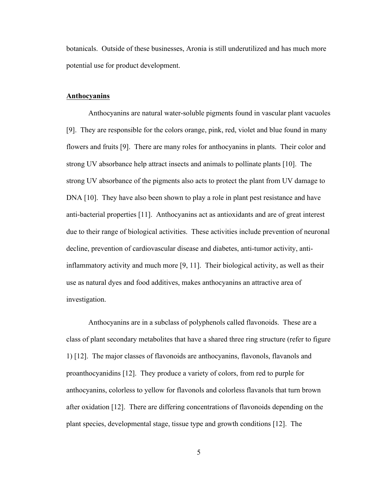botanicals. Outside of these businesses, Aronia is still underutilized and has much more potential use for product development.

#### **Anthocyanins**

Anthocyanins are natural water-soluble pigments found in vascular plant vacuoles [9]. They are responsible for the colors orange, pink, red, violet and blue found in many flowers and fruits [9]. There are many roles for anthocyanins in plants. Their color and strong UV absorbance help attract insects and animals to pollinate plants [10]. The strong UV absorbance of the pigments also acts to protect the plant from UV damage to DNA [10]. They have also been shown to play a role in plant pest resistance and have anti-bacterial properties [11]. Anthocyanins act as antioxidants and are of great interest due to their range of biological activities. These activities include prevention of neuronal decline, prevention of cardiovascular disease and diabetes, anti-tumor activity, antiinflammatory activity and much more [9, 11]. Their biological activity, as well as their use as natural dyes and food additives, makes anthocyanins an attractive area of investigation.

Anthocyanins are in a subclass of polyphenols called flavonoids. These are a class of plant secondary metabolites that have a shared three ring structure (refer to figure 1) [12]. The major classes of flavonoids are anthocyanins, flavonols, flavanols and proanthocyanidins [12]. They produce a variety of colors, from red to purple for anthocyanins, colorless to yellow for flavonols and colorless flavanols that turn brown after oxidation [12]. There are differing concentrations of flavonoids depending on the plant species, developmental stage, tissue type and growth conditions [12]. The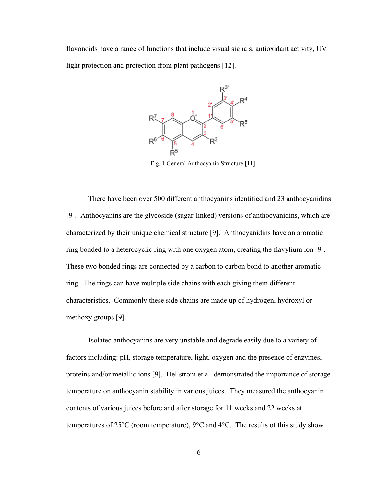flavonoids have a range of functions that include visual signals, antioxidant activity, UV light protection and protection from plant pathogens [12].



Fig. 1 General Anthocyanin Structure [11]

There have been over 500 different anthocyanins identified and 23 anthocyanidins [9]. Anthocyanins are the glycoside (sugar-linked) versions of anthocyanidins, which are characterized by their unique chemical structure [9]. Anthocyanidins have an aromatic ring bonded to a heterocyclic ring with one oxygen atom, creating the flavylium ion [9]. These two bonded rings are connected by a carbon to carbon bond to another aromatic ring. The rings can have multiple side chains with each giving them different characteristics. Commonly these side chains are made up of hydrogen, hydroxyl or methoxy groups [9].

Isolated anthocyanins are very unstable and degrade easily due to a variety of factors including: pH, storage temperature, light, oxygen and the presence of enzymes, proteins and/or metallic ions [9]. Hellstrom et al. demonstrated the importance of storage temperature on anthocyanin stability in various juices. They measured the anthocyanin contents of various juices before and after storage for 11 weeks and 22 weeks at temperatures of 25°C (room temperature), 9°C and 4°C. The results of this study show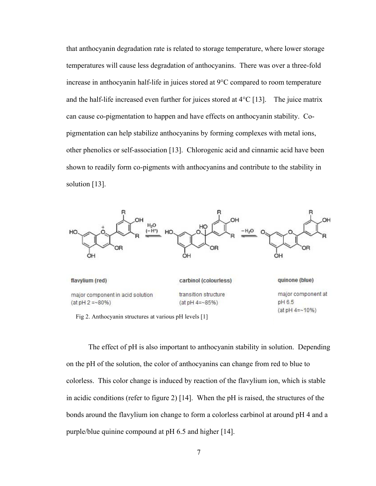that anthocyanin degradation rate is related to storage temperature, where lower storage temperatures will cause less degradation of anthocyanins. There was over a three-fold increase in anthocyanin half-life in juices stored at 9°C compared to room temperature and the half-life increased even further for juices stored at  $4^{\circ}C$  [13]. The juice matrix can cause co-pigmentation to happen and have effects on anthocyanin stability. Copigmentation can help stabilize anthocyanins by forming complexes with metal ions, other phenolics or self-association [13]. Chlorogenic acid and cinnamic acid have been shown to readily form co-pigments with anthocyanins and contribute to the stability in solution [13].



Fig 2. Anthocyanin structures at various pH levels [1]

The effect of pH is also important to anthocyanin stability in solution. Depending on the pH of the solution, the color of anthocyanins can change from red to blue to colorless. This color change is induced by reaction of the flavylium ion, which is stable in acidic conditions (refer to figure 2) [14]. When the pH is raised, the structures of the bonds around the flavylium ion change to form a colorless carbinol at around pH 4 and a purple/blue quinine compound at pH 6.5 and higher [14].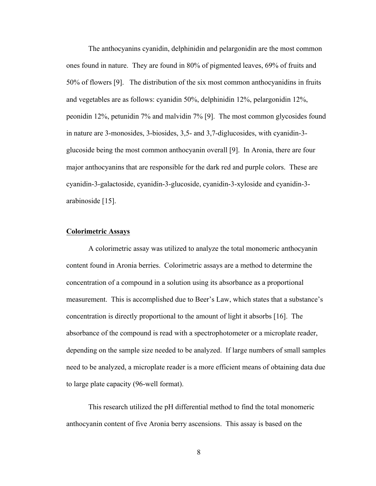The anthocyanins cyanidin, delphinidin and pelargonidin are the most common ones found in nature. They are found in 80% of pigmented leaves, 69% of fruits and 50% of flowers [9]. The distribution of the six most common anthocyanidins in fruits and vegetables are as follows: cyanidin 50%, delphinidin 12%, pelargonidin 12%, peonidin 12%, petunidin 7% and malvidin 7% [9]. The most common glycosides found in nature are 3-monosides, 3-biosides, 3,5- and 3,7-diglucosides, with cyanidin-3 glucoside being the most common anthocyanin overall [9]. In Aronia, there are four major anthocyanins that are responsible for the dark red and purple colors. These are cyanidin-3-galactoside, cyanidin-3-glucoside, cyanidin-3-xyloside and cyanidin-3 arabinoside [15].

#### **Colorimetric Assays**

A colorimetric assay was utilized to analyze the total monomeric anthocyanin content found in Aronia berries. Colorimetric assays are a method to determine the concentration of a compound in a solution using its absorbance as a proportional measurement. This is accomplished due to Beer's Law, which states that a substance's concentration is directly proportional to the amount of light it absorbs [16]. The absorbance of the compound is read with a spectrophotometer or a microplate reader, depending on the sample size needed to be analyzed. If large numbers of small samples need to be analyzed, a microplate reader is a more efficient means of obtaining data due to large plate capacity (96-well format).

This research utilized the pH differential method to find the total monomeric anthocyanin content of five Aronia berry ascensions. This assay is based on the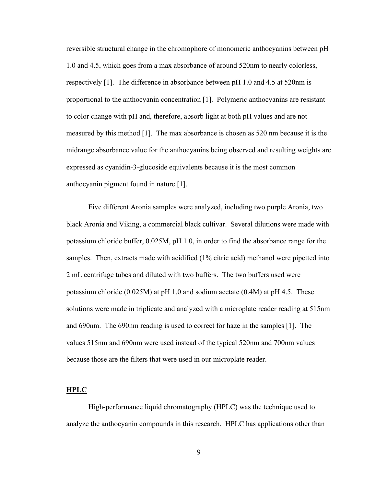reversible structural change in the chromophore of monomeric anthocyanins between pH 1.0 and 4.5, which goes from a max absorbance of around 520nm to nearly colorless, respectively [1]. The difference in absorbance between pH 1.0 and 4.5 at 520nm is proportional to the anthocyanin concentration [1]. Polymeric anthocyanins are resistant to color change with pH and, therefore, absorb light at both pH values and are not measured by this method [1]. The max absorbance is chosen as 520 nm because it is the midrange absorbance value for the anthocyanins being observed and resulting weights are expressed as cyanidin-3-glucoside equivalents because it is the most common anthocyanin pigment found in nature [1].

Five different Aronia samples were analyzed, including two purple Aronia, two black Aronia and Viking, a commercial black cultivar. Several dilutions were made with potassium chloride buffer, 0.025M, pH 1.0, in order to find the absorbance range for the samples. Then, extracts made with acidified (1% citric acid) methanol were pipetted into 2 mL centrifuge tubes and diluted with two buffers. The two buffers used were potassium chloride (0.025M) at pH 1.0 and sodium acetate (0.4M) at pH 4.5. These solutions were made in triplicate and analyzed with a microplate reader reading at 515nm and 690nm. The 690nm reading is used to correct for haze in the samples [1]. The values 515nm and 690nm were used instead of the typical 520nm and 700nm values because those are the filters that were used in our microplate reader.

### **HPLC**

High-performance liquid chromatography (HPLC) was the technique used to analyze the anthocyanin compounds in this research. HPLC has applications other than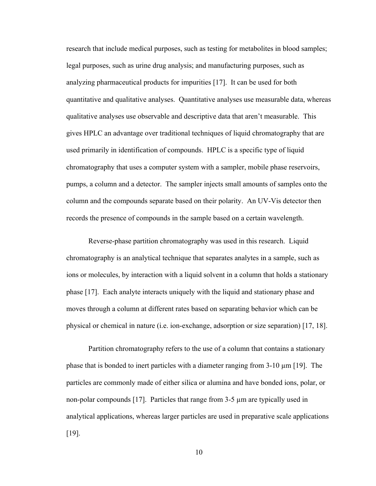research that include medical purposes, such as testing for metabolites in blood samples; legal purposes, such as urine drug analysis; and manufacturing purposes, such as analyzing pharmaceutical products for impurities [17]. It can be used for both quantitative and qualitative analyses. Quantitative analyses use measurable data, whereas qualitative analyses use observable and descriptive data that aren't measurable. This gives HPLC an advantage over traditional techniques of liquid chromatography that are used primarily in identification of compounds. HPLC is a specific type of liquid chromatography that uses a computer system with a sampler, mobile phase reservoirs, pumps, a column and a detector. The sampler injects small amounts of samples onto the column and the compounds separate based on their polarity. An UV-Vis detector then records the presence of compounds in the sample based on a certain wavelength.

Reverse-phase partition chromatography was used in this research. Liquid chromatography is an analytical technique that separates analytes in a sample, such as ions or molecules, by interaction with a liquid solvent in a column that holds a stationary phase [17]. Each analyte interacts uniquely with the liquid and stationary phase and moves through a column at different rates based on separating behavior which can be physical or chemical in nature (i.e. ion-exchange, adsorption or size separation) [17, 18].

Partition chromatography refers to the use of a column that contains a stationary phase that is bonded to inert particles with a diameter ranging from  $3-10 \mu m$  [19]. The particles are commonly made of either silica or alumina and have bonded ions, polar, or non-polar compounds [17]. Particles that range from 3-5 µm are typically used in analytical applications, whereas larger particles are used in preparative scale applications [19].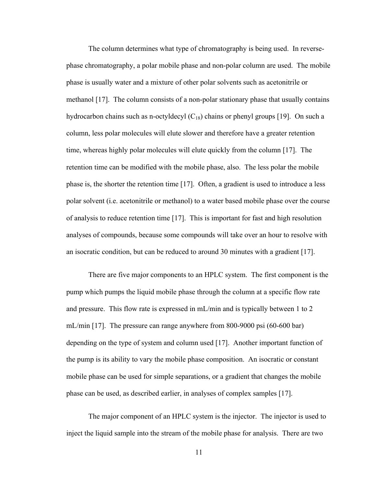The column determines what type of chromatography is being used. In reversephase chromatography, a polar mobile phase and non-polar column are used. The mobile phase is usually water and a mixture of other polar solvents such as acetonitrile or methanol [17]. The column consists of a non-polar stationary phase that usually contains hydrocarbon chains such as n-octyldecyl  $(C_{18})$  chains or phenyl groups [19]. On such a column, less polar molecules will elute slower and therefore have a greater retention time, whereas highly polar molecules will elute quickly from the column [17]. The retention time can be modified with the mobile phase, also. The less polar the mobile phase is, the shorter the retention time [17]. Often, a gradient is used to introduce a less polar solvent (i.e. acetonitrile or methanol) to a water based mobile phase over the course of analysis to reduce retention time [17]. This is important for fast and high resolution analyses of compounds, because some compounds will take over an hour to resolve with an isocratic condition, but can be reduced to around 30 minutes with a gradient [17].

There are five major components to an HPLC system. The first component is the pump which pumps the liquid mobile phase through the column at a specific flow rate and pressure. This flow rate is expressed in mL/min and is typically between 1 to 2 mL/min [17]. The pressure can range anywhere from 800-9000 psi (60-600 bar) depending on the type of system and column used [17]. Another important function of the pump is its ability to vary the mobile phase composition. An isocratic or constant mobile phase can be used for simple separations, or a gradient that changes the mobile phase can be used, as described earlier, in analyses of complex samples [17].

The major component of an HPLC system is the injector. The injector is used to inject the liquid sample into the stream of the mobile phase for analysis. There are two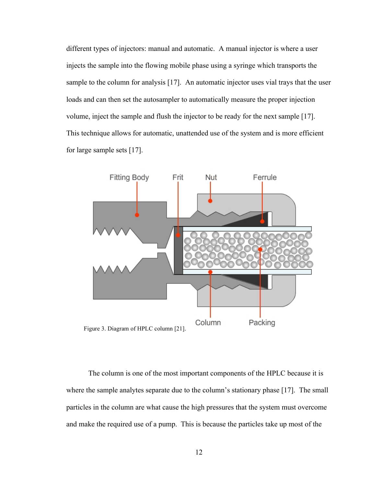different types of injectors: manual and automatic. A manual injector is where a user injects the sample into the flowing mobile phase using a syringe which transports the sample to the column for analysis [17]. An automatic injector uses vial trays that the user loads and can then set the autosampler to automatically measure the proper injection volume, inject the sample and flush the injector to be ready for the next sample [17]. This technique allows for automatic, unattended use of the system and is more efficient for large sample sets [17].



The column is one of the most important components of the HPLC because it is where the sample analytes separate due to the column's stationary phase [17]. The small particles in the column are what cause the high pressures that the system must overcome and make the required use of a pump. This is because the particles take up most of the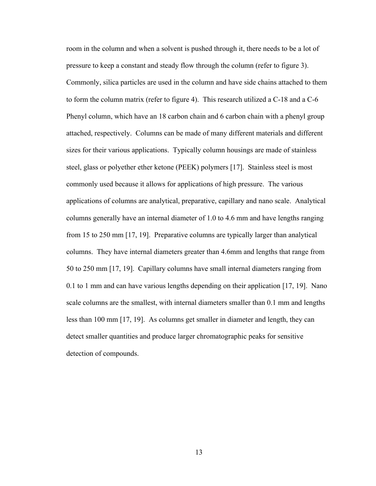room in the column and when a solvent is pushed through it, there needs to be a lot of pressure to keep a constant and steady flow through the column (refer to figure 3). Commonly, silica particles are used in the column and have side chains attached to them to form the column matrix (refer to figure 4). This research utilized a C-18 and a C-6 Phenyl column, which have an 18 carbon chain and 6 carbon chain with a phenyl group attached, respectively. Columns can be made of many different materials and different sizes for their various applications. Typically column housings are made of stainless steel, glass or polyether ether ketone (PEEK) polymers [17]. Stainless steel is most commonly used because it allows for applications of high pressure. The various applications of columns are analytical, preparative, capillary and nano scale. Analytical columns generally have an internal diameter of 1.0 to 4.6 mm and have lengths ranging from 15 to 250 mm [17, 19]. Preparative columns are typically larger than analytical columns. They have internal diameters greater than 4.6mm and lengths that range from 50 to 250 mm [17, 19]. Capillary columns have small internal diameters ranging from 0.1 to 1 mm and can have various lengths depending on their application [17, 19]. Nano scale columns are the smallest, with internal diameters smaller than 0.1 mm and lengths less than 100 mm [17, 19]. As columns get smaller in diameter and length, they can detect smaller quantities and produce larger chromatographic peaks for sensitive detection of compounds.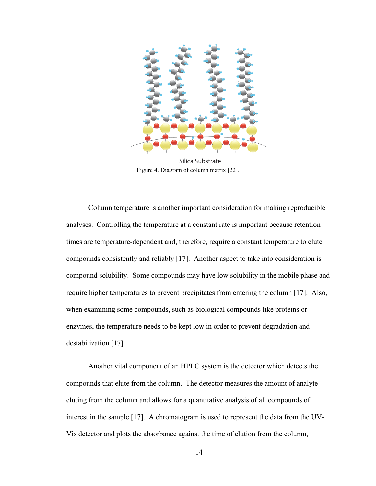

Figure 4. Diagram of column matrix [22].

Column temperature is another important consideration for making reproducible analyses. Controlling the temperature at a constant rate is important because retention times are temperature-dependent and, therefore, require a constant temperature to elute compounds consistently and reliably [17]. Another aspect to take into consideration is compound solubility. Some compounds may have low solubility in the mobile phase and require higher temperatures to prevent precipitates from entering the column [17]. Also, when examining some compounds, such as biological compounds like proteins or enzymes, the temperature needs to be kept low in order to prevent degradation and destabilization [17].

Another vital component of an HPLC system is the detector which detects the compounds that elute from the column. The detector measures the amount of analyte eluting from the column and allows for a quantitative analysis of all compounds of interest in the sample [17]. A chromatogram is used to represent the data from the UV-Vis detector and plots the absorbance against the time of elution from the column,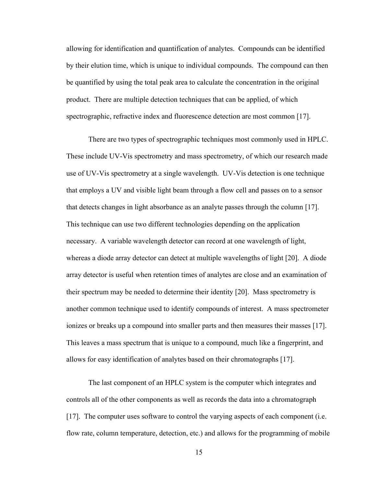allowing for identification and quantification of analytes. Compounds can be identified by their elution time, which is unique to individual compounds. The compound can then be quantified by using the total peak area to calculate the concentration in the original product. There are multiple detection techniques that can be applied, of which spectrographic, refractive index and fluorescence detection are most common [17].

There are two types of spectrographic techniques most commonly used in HPLC. These include UV-Vis spectrometry and mass spectrometry, of which our research made use of UV-Vis spectrometry at a single wavelength. UV-Vis detection is one technique that employs a UV and visible light beam through a flow cell and passes on to a sensor that detects changes in light absorbance as an analyte passes through the column [17]. This technique can use two different technologies depending on the application necessary. A variable wavelength detector can record at one wavelength of light, whereas a diode array detector can detect at multiple wavelengths of light [20]. A diode array detector is useful when retention times of analytes are close and an examination of their spectrum may be needed to determine their identity [20]. Mass spectrometry is another common technique used to identify compounds of interest. A mass spectrometer ionizes or breaks up a compound into smaller parts and then measures their masses [17]. This leaves a mass spectrum that is unique to a compound, much like a fingerprint, and allows for easy identification of analytes based on their chromatographs [17].

The last component of an HPLC system is the computer which integrates and controls all of the other components as well as records the data into a chromatograph [17]. The computer uses software to control the varying aspects of each component (i.e. flow rate, column temperature, detection, etc.) and allows for the programming of mobile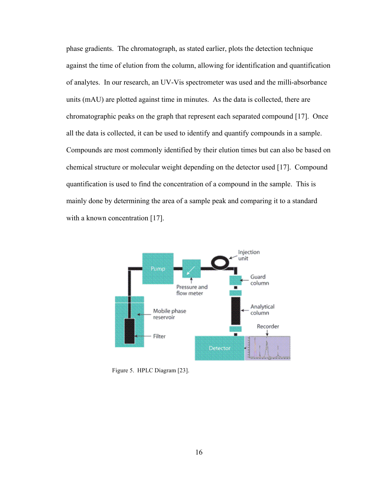phase gradients. The chromatograph, as stated earlier, plots the detection technique against the time of elution from the column, allowing for identification and quantification of analytes. In our research, an UV-Vis spectrometer was used and the milli-absorbance units (mAU) are plotted against time in minutes. As the data is collected, there are chromatographic peaks on the graph that represent each separated compound [17]. Once all the data is collected, it can be used to identify and quantify compounds in a sample. Compounds are most commonly identified by their elution times but can also be based on chemical structure or molecular weight depending on the detector used [17]. Compound quantification is used to find the concentration of a compound in the sample. This is mainly done by determining the area of a sample peak and comparing it to a standard with a known concentration [17].



Figure 5. HPLC Diagram [23].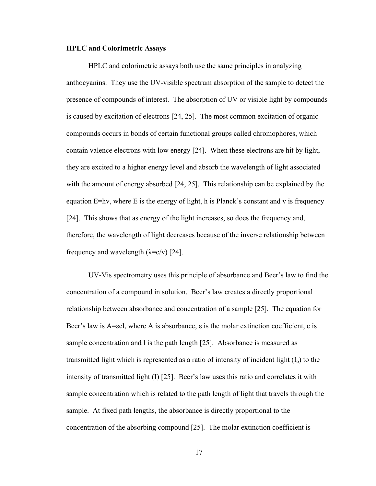#### **HPLC and Colorimetric Assays**

HPLC and colorimetric assays both use the same principles in analyzing anthocyanins. They use the UV-visible spectrum absorption of the sample to detect the presence of compounds of interest. The absorption of UV or visible light by compounds is caused by excitation of electrons [24, 25]. The most common excitation of organic compounds occurs in bonds of certain functional groups called chromophores, which contain valence electrons with low energy [24]. When these electrons are hit by light, they are excited to a higher energy level and absorb the wavelength of light associated with the amount of energy absorbed [24, 25]. This relationship can be explained by the equation  $E=hv$ , where E is the energy of light, h is Planck's constant and v is frequency [24]. This shows that as energy of the light increases, so does the frequency and, therefore, the wavelength of light decreases because of the inverse relationship between frequency and wavelength  $(\lambda = c/v)$  [24].

UV-Vis spectrometry uses this principle of absorbance and Beer's law to find the concentration of a compound in solution. Beer's law creates a directly proportional relationship between absorbance and concentration of a sample [25]. The equation for Beer's law is A=εcl, where A is absorbance,  $\varepsilon$  is the molar extinction coefficient, c is sample concentration and l is the path length [25]. Absorbance is measured as transmitted light which is represented as a ratio of intensity of incident light  $(I_0)$  to the intensity of transmitted light (I) [25]. Beer's law uses this ratio and correlates it with sample concentration which is related to the path length of light that travels through the sample. At fixed path lengths, the absorbance is directly proportional to the concentration of the absorbing compound [25]. The molar extinction coefficient is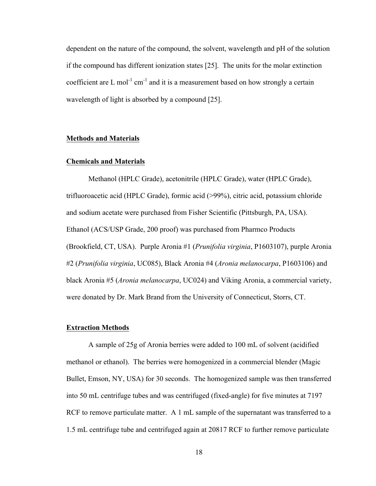dependent on the nature of the compound, the solvent, wavelength and pH of the solution if the compound has different ionization states [25]. The units for the molar extinction coefficient are L mol<sup>-1</sup> cm<sup>-1</sup> and it is a measurement based on how strongly a certain wavelength of light is absorbed by a compound [25].

# **Methods and Materials**

#### **Chemicals and Materials**

Methanol (HPLC Grade), acetonitrile (HPLC Grade), water (HPLC Grade), trifluoroacetic acid (HPLC Grade), formic acid (>99%), citric acid, potassium chloride and sodium acetate were purchased from Fisher Scientific (Pittsburgh, PA, USA). Ethanol (ACS/USP Grade, 200 proof) was purchased from Pharmco Products (Brookfield, CT, USA). Purple Aronia #1 (*Prunifolia virginia*, P1603107), purple Aronia #2 (*Prunifolia virginia*, UC085), Black Aronia #4 (*Aronia melanocarpa*, P1603106) and black Aronia #5 (*Aronia melanocarpa*, UC024) and Viking Aronia, a commercial variety, were donated by Dr. Mark Brand from the University of Connecticut, Storrs, CT.

#### **Extraction Methods**

A sample of 25g of Aronia berries were added to 100 mL of solvent (acidified methanol or ethanol). The berries were homogenized in a commercial blender (Magic Bullet, Emson, NY, USA) for 30 seconds. The homogenized sample was then transferred into 50 mL centrifuge tubes and was centrifuged (fixed-angle) for five minutes at 7197 RCF to remove particulate matter. A 1 mL sample of the supernatant was transferred to a 1.5 mL centrifuge tube and centrifuged again at 20817 RCF to further remove particulate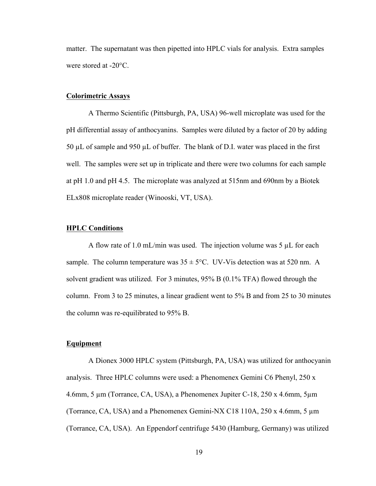matter. The supernatant was then pipetted into HPLC vials for analysis. Extra samples were stored at -20°C.

#### **Colorimetric Assays**

A Thermo Scientific (Pittsburgh, PA, USA) 96-well microplate was used for the pH differential assay of anthocyanins. Samples were diluted by a factor of 20 by adding 50 µL of sample and 950 µL of buffer. The blank of D.I. water was placed in the first well. The samples were set up in triplicate and there were two columns for each sample at pH 1.0 and pH 4.5. The microplate was analyzed at 515nm and 690nm by a Biotek ELx808 microplate reader (Winooski, VT, USA).

#### **HPLC Conditions**

A flow rate of 1.0 mL/min was used. The injection volume was 5  $\mu$ L for each sample. The column temperature was  $35 \pm 5^{\circ}$ C. UV-Vis detection was at 520 nm. A solvent gradient was utilized. For 3 minutes, 95% B (0.1% TFA) flowed through the column. From 3 to 25 minutes, a linear gradient went to 5% B and from 25 to 30 minutes the column was re-equilibrated to 95% B.

#### **Equipment**

A Dionex 3000 HPLC system (Pittsburgh, PA, USA) was utilized for anthocyanin analysis. Three HPLC columns were used: a Phenomenex Gemini C6 Phenyl, 250 x 4.6mm, 5 µm (Torrance, CA, USA), a Phenomenex Jupiter C-18, 250 x 4.6mm, 5µm (Torrance, CA, USA) and a Phenomenex Gemini-NX C18 110A, 250 x 4.6mm, 5 µm (Torrance, CA, USA). An Eppendorf centrifuge 5430 (Hamburg, Germany) was utilized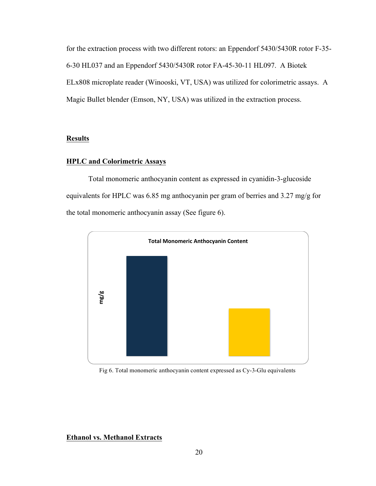for the extraction process with two different rotors: an Eppendorf 5430/5430R rotor F-35- 6-30 HL037 and an Eppendorf 5430/5430R rotor FA-45-30-11 HL097. A Biotek ELx808 microplate reader (Winooski, VT, USA) was utilized for colorimetric assays. A Magic Bullet blender (Emson, NY, USA) was utilized in the extraction process.

# **Results**

#### **HPLC and Colorimetric Assays**

Total monomeric anthocyanin content as expressed in cyanidin-3-glucoside equivalents for HPLC was 6.85 mg anthocyanin per gram of berries and 3.27 mg/g for the total monomeric anthocyanin assay (See figure 6).



Fig 6. Total monomeric anthocyanin content expressed as Cy-3-Glu equivalents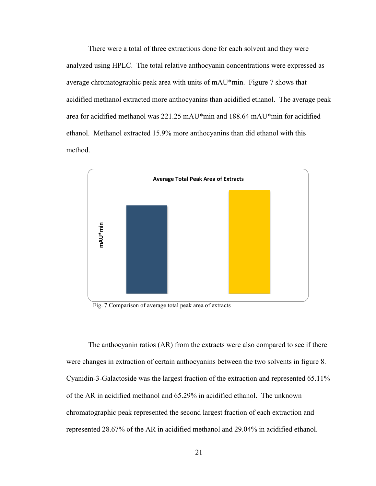There were a total of three extractions done for each solvent and they were analyzed using HPLC. The total relative anthocyanin concentrations were expressed as average chromatographic peak area with units of mAU\*min. Figure 7 shows that acidified methanol extracted more anthocyanins than acidified ethanol. The average peak area for acidified methanol was 221.25 mAU\*min and 188.64 mAU\*min for acidified ethanol. Methanol extracted 15.9% more anthocyanins than did ethanol with this method.



Fig. 7 Comparison of average total peak area of extracts

The anthocyanin ratios (AR) from the extracts were also compared to see if there were changes in extraction of certain anthocyanins between the two solvents in figure 8. Cyanidin-3-Galactoside was the largest fraction of the extraction and represented 65.11% of the AR in acidified methanol and 65.29% in acidified ethanol. The unknown chromatographic peak represented the second largest fraction of each extraction and Fig. 7 Comparison of average total peak area of extracts<br>Fig. 7 Comparison of average total peak area of extracts<br>The anthocyanin ratios (AR) from the extracts were also compared to see if the<br>were changes in extraction of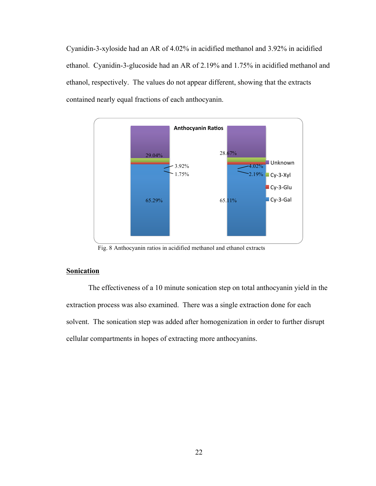Cyanidin-3-xyloside had an AR of 4.02% in acidified methanol and 3.92% in acidified ethanol. Cyanidin-3-glucoside had an AR of 2.19% and 1.75% in acidified methanol and ethanol, respectively. The values do not appear different, showing that the extracts contained nearly equal fractions of each anthocyanin.



Fig. 8 Anthocyanin ratios in acidified methanol and ethanol extracts

# **Sonication**

The effectiveness of a 10 minute sonication step on total anthocyanin yield in the extraction process was also examined. There was a single extraction done for each solvent. The sonication step was added after homogenization in order to further disrupt cellular compartments in hopes of extracting more anthocyanins.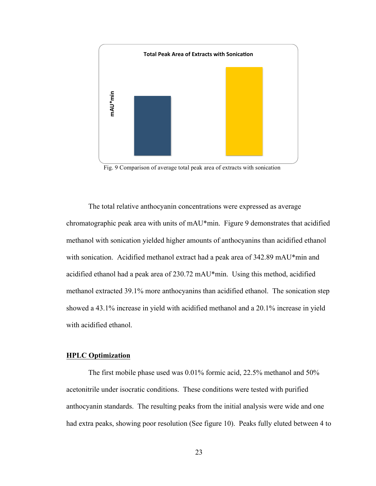

Fig. 9 Comparison of average total peak area of extracts with sonication

The total relative anthocyanin concentrations were expressed as average chromatographic peak area with units of mAU\*min. Figure 9 demonstrates that acidified methanol with sonication yielded higher amounts of anthocyanins than acidified ethanol with sonication. Acidified methanol extract had a peak area of 342.89 mAU\*min and acidified ethanol had a peak area of 230.72 mAU\*min. Using this method, acidified methanol extracted 39.1% more anthocyanins than acidified ethanol. The sonication step showed a 43.1% increase in yield with acidified methanol and a 20.1% increase in yield with acidified ethanol. Factor Comparison of average total peak area of extracts with sonication<br>The total relative anthocyanin concentrations were expressed as average<br>chromatographic peak area with units of mAU\*min. Figure 9 demonstrates that

#### **HPLC Optimization**

The first mobile phase used was 0.01% formic acid, 22.5% methanol and 50% acetonitrile under isocratic conditions. These conditions were tested with purified anthocyanin standards. The resulting peaks from the initial analysis were wide and one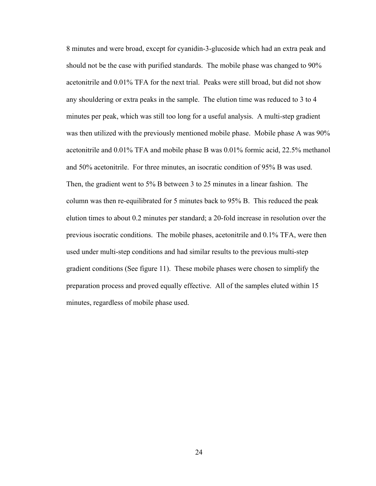8 minutes and were broad, except for cyanidin-3-glucoside which had an extra peak and should not be the case with purified standards. The mobile phase was changed to 90% acetonitrile and 0.01% TFA for the next trial. Peaks were still broad, but did not show any shouldering or extra peaks in the sample. The elution time was reduced to 3 to 4 minutes per peak, which was still too long for a useful analysis. A multi-step gradient was then utilized with the previously mentioned mobile phase. Mobile phase A was 90% acetonitrile and 0.01% TFA and mobile phase B was 0.01% formic acid, 22.5% methanol and 50% acetonitrile. For three minutes, an isocratic condition of 95% B was used. Then, the gradient went to 5% B between 3 to 25 minutes in a linear fashion. The column was then re-equilibrated for 5 minutes back to 95% B. This reduced the peak elution times to about 0.2 minutes per standard; a 20-fold increase in resolution over the previous isocratic conditions. The mobile phases, acetonitrile and 0.1% TFA, were then used under multi-step conditions and had similar results to the previous multi-step gradient conditions (See figure 11). These mobile phases were chosen to simplify the preparation process and proved equally effective. All of the samples eluted within 15 minutes, regardless of mobile phase used.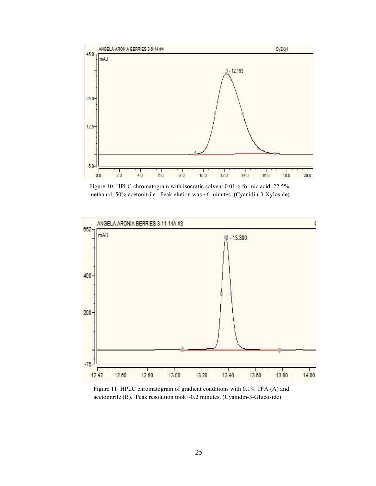

Figure 10. HPLC chromatogram with isocratic solvent 0.01% formic acid, 22.5% methanol, 50% acetonitrile. Peak elution was ~6 minutes. (Cyanidin-3-Xyloside)



Figure 11. HPLC chromatogram of gradient conditions with 0.1% TFA (A) and acetonitrile (B). Peak resolution took ~0.2 minutes. (Cyanidin-3-Glucoside)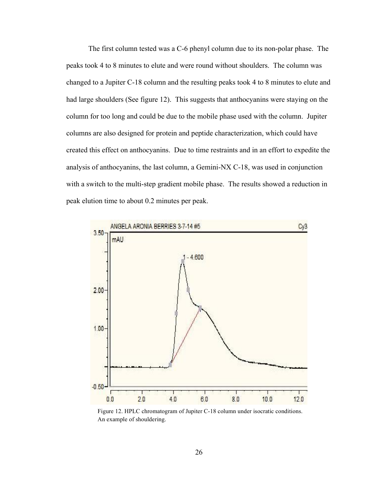The first column tested was a C-6 phenyl column due to its non-polar phase. The peaks took 4 to 8 minutes to elute and were round without shoulders. The column was changed to a Jupiter C-18 column and the resulting peaks took 4 to 8 minutes to elute and had large shoulders (See figure 12). This suggests that anthocyanins were staying on the column for too long and could be due to the mobile phase used with the column. Jupiter columns are also designed for protein and peptide characterization, which could have created this effect on anthocyanins. Due to time restraints and in an effort to expedite the analysis of anthocyanins, the last column, a Gemini-NX C-18, was used in conjunction with a switch to the multi-step gradient mobile phase. The results showed a reduction in peak elution time to about 0.2 minutes per peak.



Figure 12. HPLC chromatogram of Jupiter C-18 column under isocratic conditions. An example of shouldering.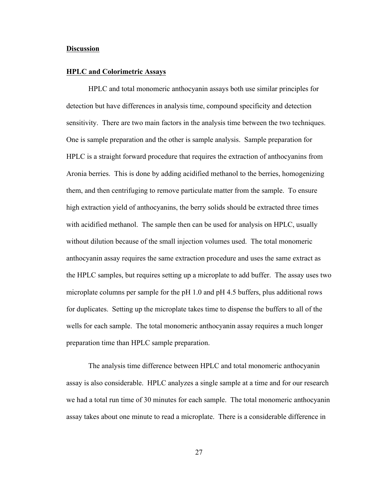#### **Discussion**

#### **HPLC and Colorimetric Assays**

HPLC and total monomeric anthocyanin assays both use similar principles for detection but have differences in analysis time, compound specificity and detection sensitivity. There are two main factors in the analysis time between the two techniques. One is sample preparation and the other is sample analysis. Sample preparation for HPLC is a straight forward procedure that requires the extraction of anthocyanins from Aronia berries. This is done by adding acidified methanol to the berries, homogenizing them, and then centrifuging to remove particulate matter from the sample. To ensure high extraction yield of anthocyanins, the berry solids should be extracted three times with acidified methanol. The sample then can be used for analysis on HPLC, usually without dilution because of the small injection volumes used. The total monomeric anthocyanin assay requires the same extraction procedure and uses the same extract as the HPLC samples, but requires setting up a microplate to add buffer. The assay uses two microplate columns per sample for the pH 1.0 and pH 4.5 buffers, plus additional rows for duplicates. Setting up the microplate takes time to dispense the buffers to all of the wells for each sample. The total monomeric anthocyanin assay requires a much longer preparation time than HPLC sample preparation.

The analysis time difference between HPLC and total monomeric anthocyanin assay is also considerable. HPLC analyzes a single sample at a time and for our research we had a total run time of 30 minutes for each sample. The total monomeric anthocyanin assay takes about one minute to read a microplate. There is a considerable difference in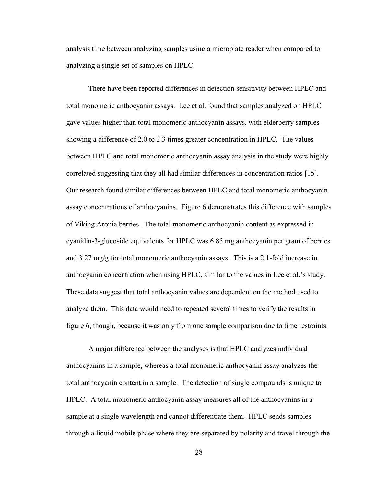analysis time between analyzing samples using a microplate reader when compared to analyzing a single set of samples on HPLC.

There have been reported differences in detection sensitivity between HPLC and total monomeric anthocyanin assays. Lee et al. found that samples analyzed on HPLC gave values higher than total monomeric anthocyanin assays, with elderberry samples showing a difference of 2.0 to 2.3 times greater concentration in HPLC. The values between HPLC and total monomeric anthocyanin assay analysis in the study were highly correlated suggesting that they all had similar differences in concentration ratios [15]. Our research found similar differences between HPLC and total monomeric anthocyanin assay concentrations of anthocyanins. Figure 6 demonstrates this difference with samples of Viking Aronia berries. The total monomeric anthocyanin content as expressed in cyanidin-3-glucoside equivalents for HPLC was 6.85 mg anthocyanin per gram of berries and  $3.27 \text{ mg/g}$  for total monomeric anthocyanin assays. This is a 2.1-fold increase in anthocyanin concentration when using HPLC, similar to the values in Lee et al.'s study. These data suggest that total anthocyanin values are dependent on the method used to analyze them. This data would need to repeated several times to verify the results in figure 6, though, because it was only from one sample comparison due to time restraints.

A major difference between the analyses is that HPLC analyzes individual anthocyanins in a sample, whereas a total monomeric anthocyanin assay analyzes the total anthocyanin content in a sample. The detection of single compounds is unique to HPLC. A total monomeric anthocyanin assay measures all of the anthocyanins in a sample at a single wavelength and cannot differentiate them. HPLC sends samples through a liquid mobile phase where they are separated by polarity and travel through the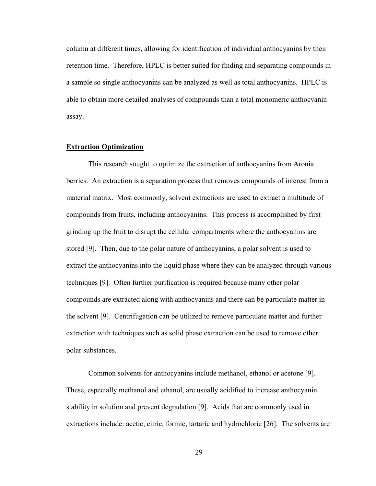column at different times, allowing for identification of individual anthocyanins by their retention time. Therefore, HPLC is better suited for finding and separating compounds in a sample so single anthocyanins can be analyzed as well as total anthocyanins. HPLC is able to obtain more detailed analyses of compounds than a total monomeric anthocyanin assay.

#### **Extraction Optimization**

This research sought to optimize the extraction of anthocyanins from Aronia berries. An extraction is a separation process that removes compounds of interest from a material matrix. Most commonly, solvent extractions are used to extract a multitude of compounds from fruits, including anthocyanins. This process is accomplished by first grinding up the fruit to disrupt the cellular compartments where the anthocyanins are stored [9]. Then, due to the polar nature of anthocyanins, a polar solvent is used to extract the anthocyanins into the liquid phase where they can be analyzed through various techniques [9]. Often further purification is required because many other polar compounds are extracted along with anthocyanins and there can be particulate matter in the solvent [9]. Centrifugation can be utilized to remove particulate matter and further extraction with techniques such as solid phase extraction can be used to remove other polar substances.

Common solvents for anthocyanins include methanol, ethanol or acetone [9]. These, especially methanol and ethanol, are usually acidified to increase anthocyanin stability in solution and prevent degradation [9]. Acids that are commonly used in extractions include: acetic, citric, formic, tartaric and hydrochloric [26]. The solvents are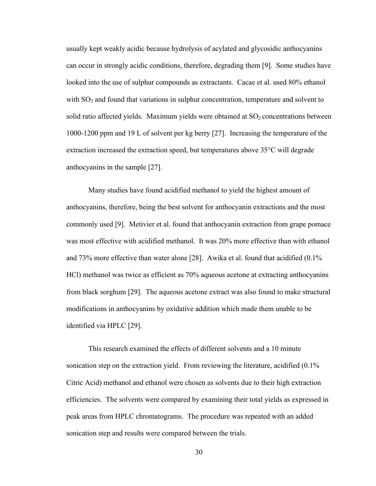usually kept weakly acidic because hydrolysis of acylated and glycosidic anthocyanins can occur in strongly acidic conditions, therefore, degrading them [9]. Some studies have looked into the use of sulphur compounds as extractants. Cacae et al. used 80% ethanol with  $SO<sub>2</sub>$  and found that variations in sulphur concentration, temperature and solvent to solid ratio affected yields. Maximum yields were obtained at  $SO<sub>2</sub>$  concentrations between 1000-1200 ppm and 19 L of solvent per kg berry [27]. Increasing the temperature of the extraction increased the extraction speed, but temperatures above 35°C will degrade anthocyanins in the sample [27].

Many studies have found acidified methanol to yield the highest amount of anthocyanins, therefore, being the best solvent for anthocyanin extractions and the most commonly used [9]. Metivier et al. found that anthocyanin extraction from grape pomace was most effective with acidified methanol. It was 20% more effective than with ethanol and 73% more effective than water alone [28]. Awika et al. found that acidified (0.1% HCl) methanol was twice as efficient as 70% aqueous acetone at extracting anthocyanins from black sorghum [29]. The aqueous acetone extract was also found to make structural modifications in anthocyanins by oxidative addition which made them unable to be identified via HPLC [29].

This research examined the effects of different solvents and a 10 minute sonication step on the extraction yield. From reviewing the literature, acidified  $(0.1\%$ Citric Acid) methanol and ethanol were chosen as solvents due to their high extraction efficiencies. The solvents were compared by examining their total yields as expressed in peak areas from HPLC chromatograms. The procedure was repeated with an added sonication step and results were compared between the trials.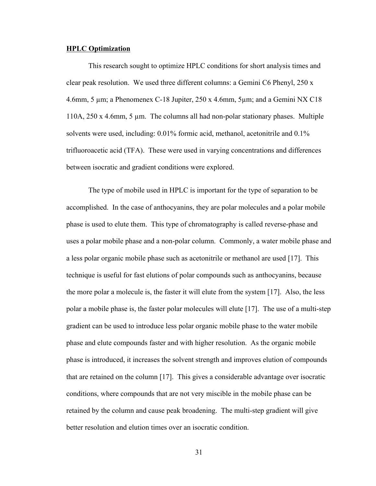#### **HPLC Optimization**

This research sought to optimize HPLC conditions for short analysis times and clear peak resolution. We used three different columns: a Gemini C6 Phenyl, 250 x 4.6mm, 5 µm; a Phenomenex C-18 Jupiter, 250 x 4.6mm, 5µm; and a Gemini NX C18 110A, 250 x 4.6mm, 5 µm. The columns all had non-polar stationary phases. Multiple solvents were used, including: 0.01% formic acid, methanol, acetonitrile and 0.1% trifluoroacetic acid (TFA). These were used in varying concentrations and differences between isocratic and gradient conditions were explored.

The type of mobile used in HPLC is important for the type of separation to be accomplished. In the case of anthocyanins, they are polar molecules and a polar mobile phase is used to elute them. This type of chromatography is called reverse-phase and uses a polar mobile phase and a non-polar column. Commonly, a water mobile phase and a less polar organic mobile phase such as acetonitrile or methanol are used [17]. This technique is useful for fast elutions of polar compounds such as anthocyanins, because the more polar a molecule is, the faster it will elute from the system [17]. Also, the less polar a mobile phase is, the faster polar molecules will elute [17]. The use of a multi-step gradient can be used to introduce less polar organic mobile phase to the water mobile phase and elute compounds faster and with higher resolution. As the organic mobile phase is introduced, it increases the solvent strength and improves elution of compounds that are retained on the column [17]. This gives a considerable advantage over isocratic conditions, where compounds that are not very miscible in the mobile phase can be retained by the column and cause peak broadening. The multi-step gradient will give better resolution and elution times over an isocratic condition.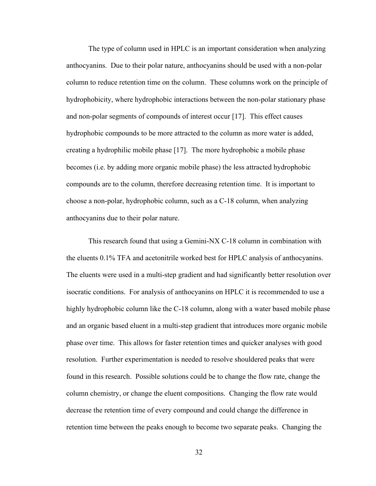The type of column used in HPLC is an important consideration when analyzing anthocyanins. Due to their polar nature, anthocyanins should be used with a non-polar column to reduce retention time on the column. These columns work on the principle of hydrophobicity, where hydrophobic interactions between the non-polar stationary phase and non-polar segments of compounds of interest occur [17]. This effect causes hydrophobic compounds to be more attracted to the column as more water is added, creating a hydrophilic mobile phase [17]. The more hydrophobic a mobile phase becomes (i.e. by adding more organic mobile phase) the less attracted hydrophobic compounds are to the column, therefore decreasing retention time. It is important to choose a non-polar, hydrophobic column, such as a C-18 column, when analyzing anthocyanins due to their polar nature.

This research found that using a Gemini-NX C-18 column in combination with the eluents 0.1% TFA and acetonitrile worked best for HPLC analysis of anthocyanins. The eluents were used in a multi-step gradient and had significantly better resolution over isocratic conditions. For analysis of anthocyanins on HPLC it is recommended to use a highly hydrophobic column like the C-18 column, along with a water based mobile phase and an organic based eluent in a multi-step gradient that introduces more organic mobile phase over time. This allows for faster retention times and quicker analyses with good resolution. Further experimentation is needed to resolve shouldered peaks that were found in this research. Possible solutions could be to change the flow rate, change the column chemistry, or change the eluent compositions. Changing the flow rate would decrease the retention time of every compound and could change the difference in retention time between the peaks enough to become two separate peaks. Changing the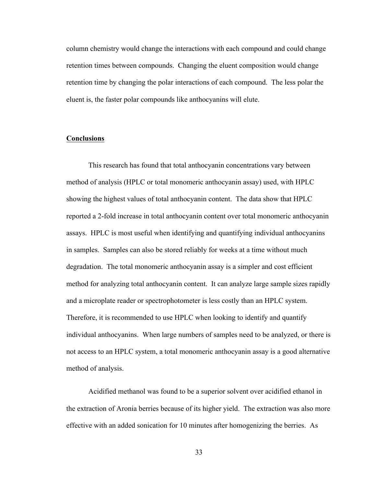column chemistry would change the interactions with each compound and could change retention times between compounds. Changing the eluent composition would change retention time by changing the polar interactions of each compound. The less polar the eluent is, the faster polar compounds like anthocyanins will elute.

### **Conclusions**

This research has found that total anthocyanin concentrations vary between method of analysis (HPLC or total monomeric anthocyanin assay) used, with HPLC showing the highest values of total anthocyanin content. The data show that HPLC reported a 2-fold increase in total anthocyanin content over total monomeric anthocyanin assays. HPLC is most useful when identifying and quantifying individual anthocyanins in samples. Samples can also be stored reliably for weeks at a time without much degradation. The total monomeric anthocyanin assay is a simpler and cost efficient method for analyzing total anthocyanin content. It can analyze large sample sizes rapidly and a microplate reader or spectrophotometer is less costly than an HPLC system. Therefore, it is recommended to use HPLC when looking to identify and quantify individual anthocyanins. When large numbers of samples need to be analyzed, or there is not access to an HPLC system, a total monomeric anthocyanin assay is a good alternative method of analysis.

Acidified methanol was found to be a superior solvent over acidified ethanol in the extraction of Aronia berries because of its higher yield. The extraction was also more effective with an added sonication for 10 minutes after homogenizing the berries. As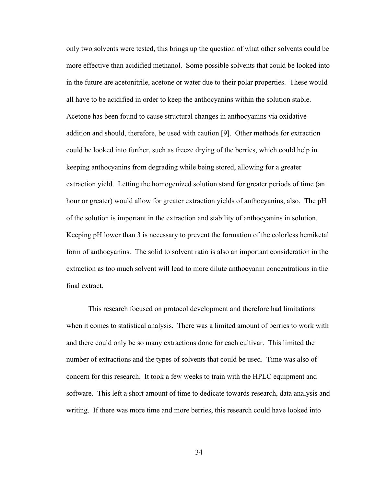only two solvents were tested, this brings up the question of what other solvents could be more effective than acidified methanol. Some possible solvents that could be looked into in the future are acetonitrile, acetone or water due to their polar properties. These would all have to be acidified in order to keep the anthocyanins within the solution stable. Acetone has been found to cause structural changes in anthocyanins via oxidative addition and should, therefore, be used with caution [9]. Other methods for extraction could be looked into further, such as freeze drying of the berries, which could help in keeping anthocyanins from degrading while being stored, allowing for a greater extraction yield. Letting the homogenized solution stand for greater periods of time (an hour or greater) would allow for greater extraction yields of anthocyanins, also. The pH of the solution is important in the extraction and stability of anthocyanins in solution. Keeping pH lower than 3 is necessary to prevent the formation of the colorless hemiketal form of anthocyanins. The solid to solvent ratio is also an important consideration in the extraction as too much solvent will lead to more dilute anthocyanin concentrations in the final extract.

This research focused on protocol development and therefore had limitations when it comes to statistical analysis. There was a limited amount of berries to work with and there could only be so many extractions done for each cultivar. This limited the number of extractions and the types of solvents that could be used. Time was also of concern for this research. It took a few weeks to train with the HPLC equipment and software. This left a short amount of time to dedicate towards research, data analysis and writing. If there was more time and more berries, this research could have looked into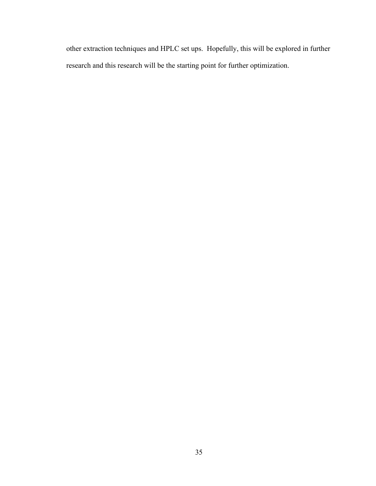other extraction techniques and HPLC set ups. Hopefully, this will be explored in further research and this research will be the starting point for further optimization.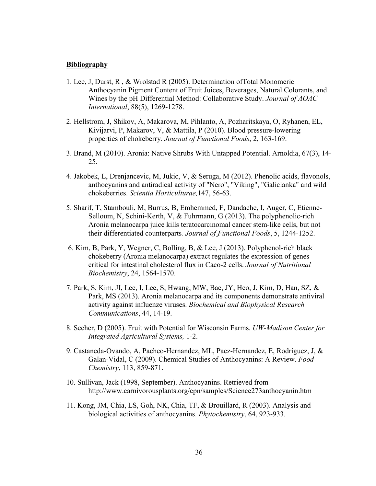#### **Bibliography**

- 1. Lee, J, Durst, R , & Wrolstad R (2005). Determination ofTotal Monomeric Anthocyanin Pigment Content of Fruit Juices, Beverages, Natural Colorants, and Wines by the pH Differential Method: Collaborative Study. *Journal of AOAC International*, 88(5), 1269-1278.
- 2. Hellstrom, J, Shikov, A, Makarova, M, Pihlanto, A, Pozharitskaya, O, Ryhanen, EL, Kivijarvi, P, Makarov, V, & Mattila, P (2010). Blood pressure-lowering properties of chokeberry. *Journal of Functional Foods*, 2, 163-169.
- 3. Brand, M (2010). Aronia: Native Shrubs With Untapped Potential. Arnoldia, 67(3), 14- 25.
- 4. Jakobek, L, Drenjancevic, M, Jukic, V, & Seruga, M (2012). Phenolic acids, flavonols, anthocyanins and antiradical activity of "Nero", "Viking", "Galicianka" and wild chokeberries. *Scientia Horticulturae,*147, 56-63.
- 5. Sharif, T, Stambouli, M, Burrus, B, Emhemmed, F, Dandache, I, Auger, C, Etienne-Selloum, N, Schini-Kerth, V, & Fuhrmann, G (2013). The polyphenolic-rich Aronia melanocarpa juice kills teratocarcinomal cancer stem-like cells, but not their differentiated counterparts*. Journal of Functional Foods*, 5, 1244-1252.
- 6. Kim, B, Park, Y, Wegner, C, Bolling, B, & Lee, J (2013). Polyphenol-rich black chokeberry (Aronia melanocarpa) extract regulates the expression of genes critical for intestinal cholesterol flux in Caco-2 cells. *Journal of Nutritional Biochemistry*, 24, 1564-1570.
- 7. Park, S, Kim, JI, Lee, I, Lee, S, Hwang, MW, Bae, JY, Heo, J, Kim, D, Han, SZ, & Park, MS (2013). Aronia melanocarpa and its components demonstrate antiviral activity against influenze viruses. *Biochemical and Biophysical Research Communications*, 44, 14-19.
- 8. Secher, D (2005). Fruit with Potential for Wisconsin Farms. *UW-Madison Center for Integrated Agricultural Systems,* 1-2.
- 9. Castaneda-Ovando, A, Pacheo-Hernandez, ML, Paez-Hernandez, E, Rodriguez, J, & Galan-Vidal, C (2009). Chemical Studies of Anthocyanins: A Review. *Food Chemistry*, 113, 859-871.
- 10. Sullivan, Jack (1998, September). Anthocyanins. Retrieved from http://www.carnivorousplants.org/cpn/samples/Science273anthocyanin.htm
- 11. Kong, JM, Chia, LS, Goh, NK, Chia, TF, & Brouillard, R (2003). Analysis and biological activities of anthocyanins. *Phytochemistry*, 64, 923-933.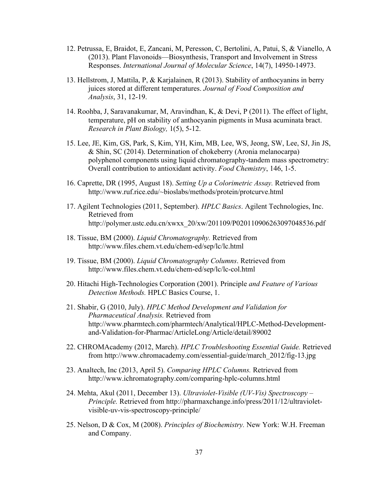- 12. Petrussa, E, Braidot, E, Zancani, M, Peresson, C, Bertolini, A, Patui, S, & Vianello, A (2013). Plant Flavonoids—Biosynthesis, Transport and Involvement in Stress Responses. *International Journal of Molecular Science*, 14(7), 14950-14973.
- 13. Hellstrom, J, Mattila, P, & Karjalainen, R (2013). Stability of anthocyanins in berry juices stored at different temperatures. *Journal of Food Composition and Analysis*, 31, 12-19.
- 14. Roohba, J, Saravanakumar, M, Aravindhan, K, & Devi, P (2011). The effect of light, temperature, pH on stability of anthocyanin pigments in Musa acuminata bract. *Research in Plant Biology,* 1(5), 5-12.
- 15. Lee, JE, Kim, GS, Park, S, Kim, YH, Kim, MB, Lee, WS, Jeong, SW, Lee, SJ, Jin JS, & Shin, SC (2014). Determination of chokeberry (Aronia melanocarpa) polyphenol components using liquid chromatography-tandem mass spectrometry: Overall contribution to antioxidant activity. *Food Chemistry*, 146, 1-5.
- 16. Caprette, DR (1995, August 18). *Setting Up a Colorimetric Assay.* Retrieved from http://www.ruf.rice.edu/~bioslabs/methods/protein/protcurve.html
- 17. Agilent Technologies (2011, September). *HPLC Basics*. Agilent Technologies, Inc. Retrieved from http://polymer.ustc.edu.cn/xwxx\_20/xw/201109/P020110906263097048536.pdf
- 18. Tissue, BM (2000). *Liquid Chromatography.* Retrieved from http://www.files.chem.vt.edu/chem-ed/sep/lc/lc.html
- 19. Tissue, BM (2000). *Liquid Chromatography Columns*. Retrieved from http://www.files.chem.vt.edu/chem-ed/sep/lc/lc-col.html
- 20. Hitachi High-Technologies Corporation (2001). Principle *and Feature of Various Detection Methods.* HPLC Basics Course, 1.
- 21. Shabir, G (2010, July). *HPLC Method Development and Validation for Pharmaceutical Analysis.* Retrieved from http://www.pharmtech.com/pharmtech/Analytical/HPLC-Method-Developmentand-Validation-for-Pharmac/ArticleLong/Article/detail/89002
- 22. CHROMAcademy (2012, March). *HPLC Troubleshooting Essential Guide.* Retrieved from http://www.chromacademy.com/essential-guide/march\_2012/fig-13.jpg
- 23. Analtech, Inc (2013, April 5). *Comparing HPLC Columns.* Retrieved from http://www.ichromatography.com/comparing-hplc-columns.html
- 24. Mehta, Akul (2011, December 13). *Ultraviolet-Visible (UV-Vis) Spectroscopy – Principle.* Retrieved from http://pharmaxchange.info/press/2011/12/ultravioletvisible-uv-vis-spectroscopy-principle/
- 25. Nelson, D & Cox, M (2008). *Principles of Biochemistry.* New York: W.H. Freeman and Company.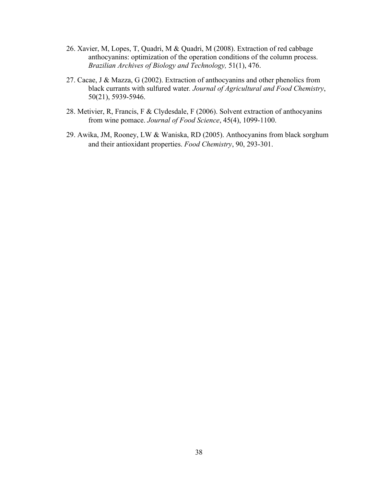- 26. Xavier, M, Lopes, T, Quadri, M & Quadri, M (2008). Extraction of red cabbage anthocyanins: optimization of the operation conditions of the column process. *Brazilian Archives of Biology and Technology,* 51(1), 476.
- 27. Cacae, J & Mazza, G (2002). Extraction of anthocyanins and other phenolics from black currants with sulfured water*. Journal of Agricultural and Food Chemistry*, 50(21), 5939-5946.
- 28. Metivier, R, Francis, F & Clydesdale, F (2006). Solvent extraction of anthocyanins from wine pomace. *Journal of Food Science*, 45(4), 1099-1100.
- 29. Awika, JM, Rooney, LW & Waniska, RD (2005). Anthocyanins from black sorghum and their antioxidant properties. *Food Chemistry*, 90, 293-301.